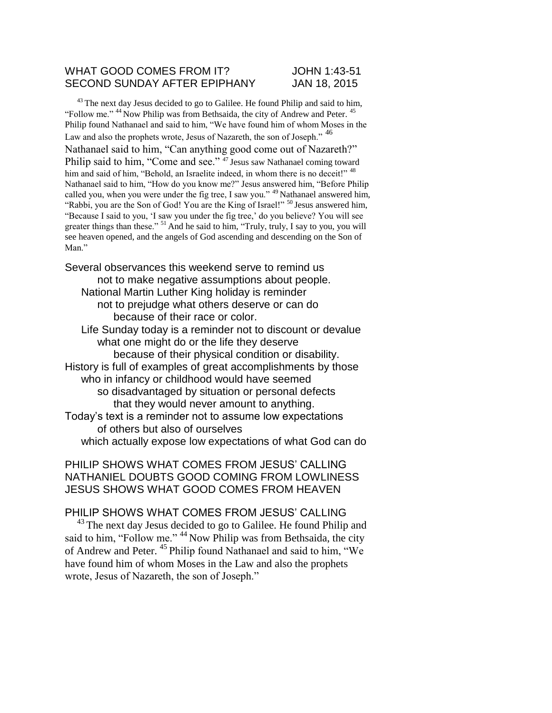## WHAT GOOD COMES FROM IT? JOHN 1:43-51 SECOND SUNDAY AFTER EPIPHANY JAN 18, 2015

 $43$  The next day Jesus decided to go to Galilee. He found Philip and said to him, "Follow me." <sup>44</sup> Now Philip was from Bethsaida, the city of Andrew and Peter. <sup>4</sup> Philip found Nathanael and said to him, "We have found him of whom Moses in the Law and also the prophets wrote, Jesus of Nazareth, the son of Joseph." <sup>46</sup> Nathanael said to him, "Can anything good come out of Nazareth?" Philip said to him, "Come and see."<sup>47</sup> Jesus saw Nathanael coming toward him and said of him, "Behold, an Israelite indeed, in whom there is no deceit!" <sup>48</sup> Nathanael said to him, "How do you know me?" Jesus answered him, "Before Philip called you, when you were under the fig tree, I saw you." <sup>49</sup> Nathanael answered him, "Rabbi, you are the Son of God! You are the King of Israel!" <sup>50</sup> Jesus answered him, "Because I said to you, 'I saw you under the fig tree,' do you believe? You will see greater things than these."  $51$  And he said to him, "Truly, truly, I say to you, you will see heaven opened, and the angels of God ascending and descending on the Son of Man."

Several observances this weekend serve to remind us not to make negative assumptions about people. National Martin Luther King holiday is reminder not to prejudge what others deserve or can do because of their race or color. Life Sunday today is a reminder not to discount or devalue what one might do or the life they deserve

because of their physical condition or disability. History is full of examples of great accomplishments by those who in infancy or childhood would have seemed so disadvantaged by situation or personal defects that they would never amount to anything. Today's text is a reminder not to assume low expectations of others but also of ourselves

which actually expose low expectations of what God can do

PHILIP SHOWS WHAT COMES FROM JESUS' CALLING NATHANIEL DOUBTS GOOD COMING FROM LOWLINESS JESUS SHOWS WHAT GOOD COMES FROM HEAVEN

## PHILIP SHOWS WHAT COMES FROM JESUS' CALLING

 $^{43}$  The next day Jesus decided to go to Galilee. He found Philip and said to him, "Follow me." <sup>44</sup> Now Philip was from Bethsaida, the city of Andrew and Peter. <sup>45</sup> Philip found Nathanael and said to him, "We have found him of whom Moses in the Law and also the prophets wrote, Jesus of Nazareth, the son of Joseph."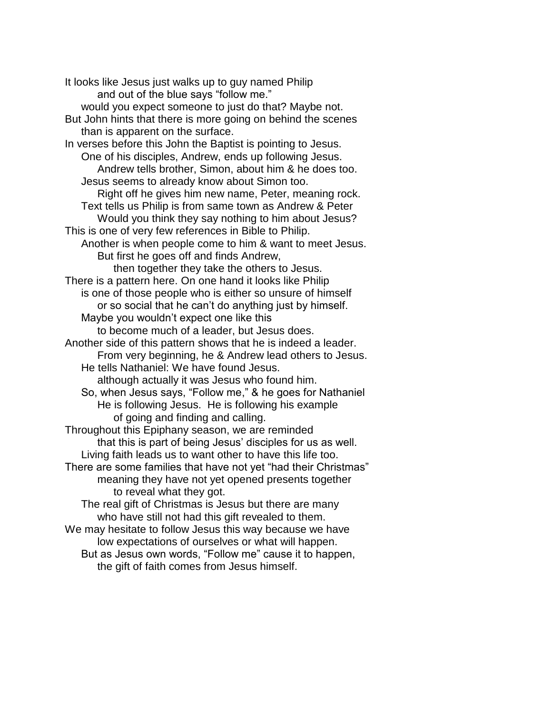It looks like Jesus just walks up to guy named Philip and out of the blue says "follow me." would you expect someone to just do that? Maybe not. But John hints that there is more going on behind the scenes than is apparent on the surface. In verses before this John the Baptist is pointing to Jesus. One of his disciples, Andrew, ends up following Jesus. Andrew tells brother, Simon, about him & he does too. Jesus seems to already know about Simon too. Right off he gives him new name, Peter, meaning rock. Text tells us Philip is from same town as Andrew & Peter Would you think they say nothing to him about Jesus? This is one of very few references in Bible to Philip. Another is when people come to him & want to meet Jesus. But first he goes off and finds Andrew, then together they take the others to Jesus. There is a pattern here. On one hand it looks like Philip is one of those people who is either so unsure of himself or so social that he can't do anything just by himself. Maybe you wouldn't expect one like this to become much of a leader, but Jesus does. Another side of this pattern shows that he is indeed a leader. From very beginning, he & Andrew lead others to Jesus. He tells Nathaniel: We have found Jesus. although actually it was Jesus who found him. So, when Jesus says, "Follow me," & he goes for Nathaniel He is following Jesus. He is following his example of going and finding and calling. Throughout this Epiphany season, we are reminded that this is part of being Jesus' disciples for us as well. Living faith leads us to want other to have this life too. There are some families that have not yet "had their Christmas" meaning they have not yet opened presents together to reveal what they got. The real gift of Christmas is Jesus but there are many who have still not had this gift revealed to them. We may hesitate to follow Jesus this way because we have low expectations of ourselves or what will happen. But as Jesus own words, "Follow me" cause it to happen,

the gift of faith comes from Jesus himself.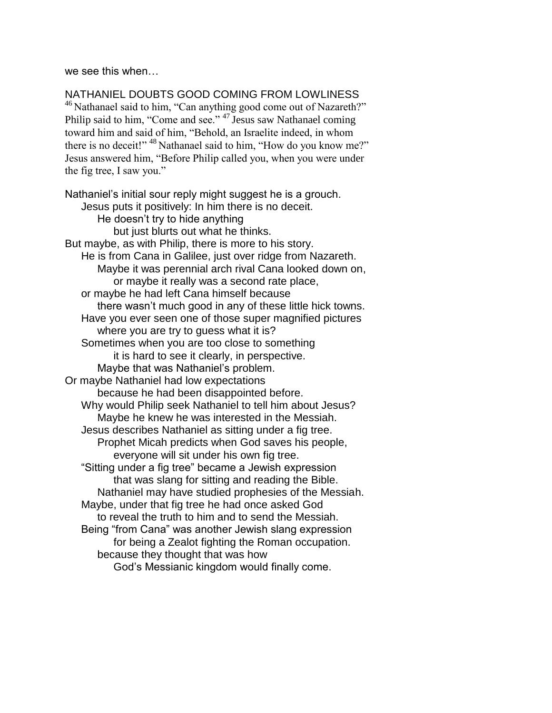we see this when…

NATHANIEL DOUBTS GOOD COMING FROM LOWLINESS <sup>46</sup> Nathanael said to him, "Can anything good come out of Nazareth?" Philip said to him, "Come and see." <sup>47</sup> Jesus saw Nathanael coming toward him and said of him, "Behold, an Israelite indeed, in whom there is no deceit!" <sup>48</sup> Nathanael said to him, "How do you know me?" Jesus answered him, "Before Philip called you, when you were under the fig tree, I saw you."

Nathaniel's initial sour reply might suggest he is a grouch. Jesus puts it positively: In him there is no deceit. He doesn't try to hide anything but just blurts out what he thinks. But maybe, as with Philip, there is more to his story. He is from Cana in Galilee, just over ridge from Nazareth. Maybe it was perennial arch rival Cana looked down on, or maybe it really was a second rate place, or maybe he had left Cana himself because there wasn't much good in any of these little hick towns. Have you ever seen one of those super magnified pictures where you are try to guess what it is? Sometimes when you are too close to something it is hard to see it clearly, in perspective. Maybe that was Nathaniel's problem. Or maybe Nathaniel had low expectations because he had been disappointed before. Why would Philip seek Nathaniel to tell him about Jesus? Maybe he knew he was interested in the Messiah. Jesus describes Nathaniel as sitting under a fig tree. Prophet Micah predicts when God saves his people, everyone will sit under his own fig tree. "Sitting under a fig tree" became a Jewish expression that was slang for sitting and reading the Bible. Nathaniel may have studied prophesies of the Messiah. Maybe, under that fig tree he had once asked God to reveal the truth to him and to send the Messiah. Being "from Cana" was another Jewish slang expression for being a Zealot fighting the Roman occupation. because they thought that was how God's Messianic kingdom would finally come.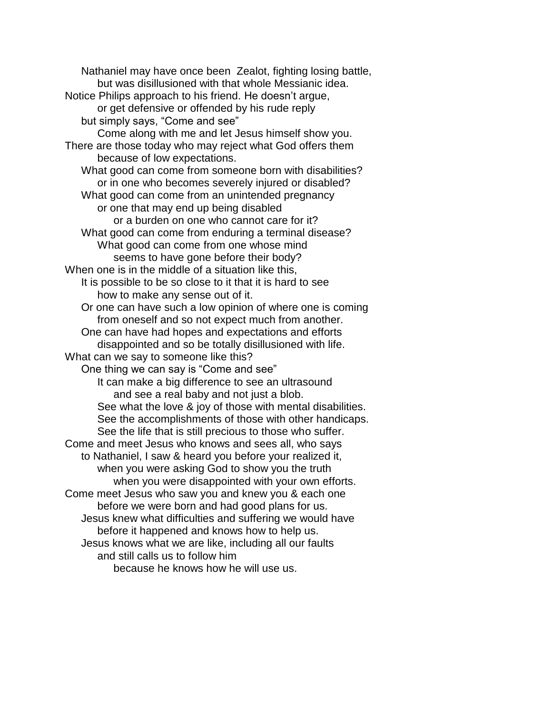Nathaniel may have once been Zealot, fighting losing battle, but was disillusioned with that whole Messianic idea. Notice Philips approach to his friend. He doesn't argue, or get defensive or offended by his rude reply but simply says, "Come and see" Come along with me and let Jesus himself show you. There are those today who may reject what God offers them because of low expectations. What good can come from someone born with disabilities? or in one who becomes severely injured or disabled? What good can come from an unintended pregnancy or one that may end up being disabled or a burden on one who cannot care for it? What good can come from enduring a terminal disease? What good can come from one whose mind seems to have gone before their body? When one is in the middle of a situation like this, It is possible to be so close to it that it is hard to see how to make any sense out of it. Or one can have such a low opinion of where one is coming from oneself and so not expect much from another. One can have had hopes and expectations and efforts disappointed and so be totally disillusioned with life. What can we say to someone like this? One thing we can say is "Come and see" It can make a big difference to see an ultrasound and see a real baby and not just a blob. See what the love & joy of those with mental disabilities. See the accomplishments of those with other handicaps. See the life that is still precious to those who suffer. Come and meet Jesus who knows and sees all, who says to Nathaniel, I saw & heard you before your realized it, when you were asking God to show you the truth when you were disappointed with your own efforts. Come meet Jesus who saw you and knew you & each one before we were born and had good plans for us. Jesus knew what difficulties and suffering we would have before it happened and knows how to help us. Jesus knows what we are like, including all our faults and still calls us to follow him because he knows how he will use us.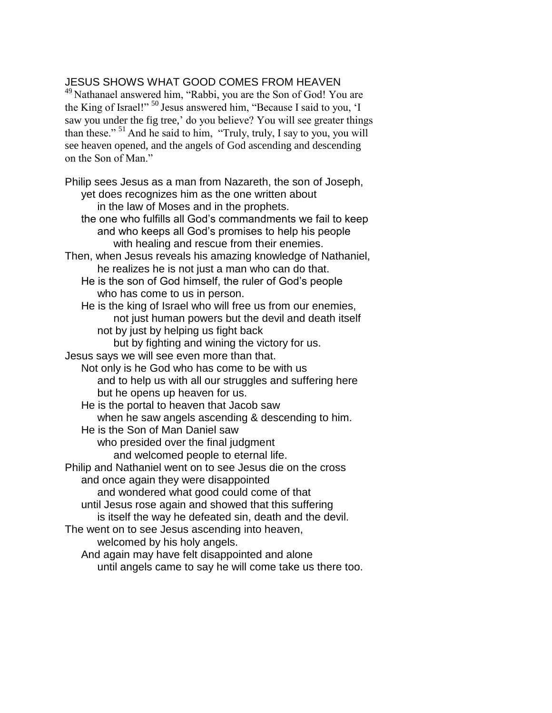## JESUS SHOWS WHAT GOOD COMES FROM HEAVEN

<sup>49</sup> Nathanael answered him, "Rabbi, you are the Son of God! You are the King of Israel!" <sup>50</sup> Jesus answered him, "Because I said to you, 'I saw you under the fig tree,' do you believe? You will see greater things than these."<sup>51</sup> And he said to him, "Truly, truly, I say to you, you will see heaven opened, and the angels of God ascending and descending on the Son of Man."

Philip sees Jesus as a man from Nazareth, the son of Joseph, yet does recognizes him as the one written about in the law of Moses and in the prophets. the one who fulfills all God's commandments we fail to keep and who keeps all God's promises to help his people with healing and rescue from their enemies. Then, when Jesus reveals his amazing knowledge of Nathaniel, he realizes he is not just a man who can do that. He is the son of God himself, the ruler of God's people who has come to us in person. He is the king of Israel who will free us from our enemies, not just human powers but the devil and death itself not by just by helping us fight back but by fighting and wining the victory for us. Jesus says we will see even more than that. Not only is he God who has come to be with us and to help us with all our struggles and suffering here but he opens up heaven for us. He is the portal to heaven that Jacob saw when he saw angels ascending & descending to him. He is the Son of Man Daniel saw who presided over the final judgment and welcomed people to eternal life. Philip and Nathaniel went on to see Jesus die on the cross and once again they were disappointed and wondered what good could come of that until Jesus rose again and showed that this suffering is itself the way he defeated sin, death and the devil. The went on to see Jesus ascending into heaven, welcomed by his holy angels. And again may have felt disappointed and alone until angels came to say he will come take us there too.